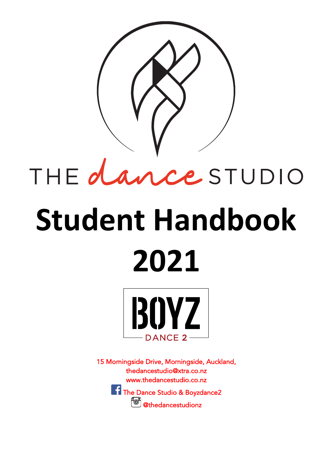

# THE dance STUDIO

## **Student Handbook 2021**



15 Morningside Drive, Morningside, Auckland, thedancestudio@xtra.co.nz www.thedancestudio.co.nz The Dance Studio & Boyzdance2 **"o"** @thedancestudionz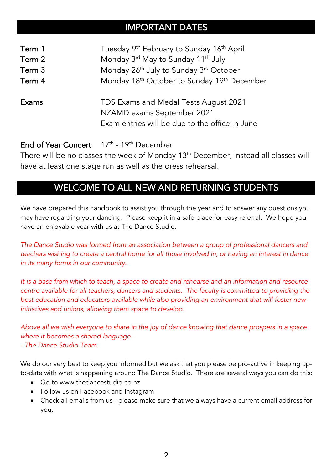## IMPORTANT DATES

| Term 1 | Tuesday 9 <sup>th</sup> February to Sunday 16 <sup>th</sup> April                                                     |
|--------|-----------------------------------------------------------------------------------------------------------------------|
| Term 2 | Monday 3rd May to Sunday 11 <sup>th</sup> July                                                                        |
| Term 3 | Monday 26 <sup>th</sup> July to Sunday 3 <sup>rd</sup> October                                                        |
| Term 4 | Monday 18 <sup>th</sup> October to Sunday 19 <sup>th</sup> December                                                   |
| Exams  | TDS Exams and Medal Tests August 2021<br>NZAMD exams September 2021<br>Exam entries will be due to the office in June |

### End of Year Concert 17<sup>th</sup> - 19<sup>th</sup> December

There will be no classes the week of Monday 13th December, instead all classes will have at least one stage run as well as the dress rehearsal.

## WELCOME TO ALL NEW AND RETURNING STUDENTS

We have prepared this handbook to assist you through the year and to answer any questions you may have regarding your dancing. Please keep it in a safe place for easy referral. We hope you have an enjoyable year with us at The Dance Studio.

*The Dance Studio was formed from an association between a group of professional dancers and teachers wishing to create a central home for all those involved in, or having an interest in dance in its many forms in our community.*

*It is a base from which to teach, a space to create and rehearse and an information and resource centre available for all teachers, dancers and students. The faculty is committed to providing the best education and educators available while also providing an environment that will foster new initiatives and unions, allowing them space to develop.*

*Above all we wish everyone to share in the joy of dance knowing that dance prospers in a space where it becomes a shared language.*

#### *- The Dance Studio Team*

We do our very best to keep you informed but we ask that you please be pro-active in keeping upto-date with what is happening around The Dance Studio. There are several ways you can do this:

- Go to www.thedancestudio.co.nz
- Follow us on Facebook and Instagram
- Check all emails from us please make sure that we always have a current email address for you.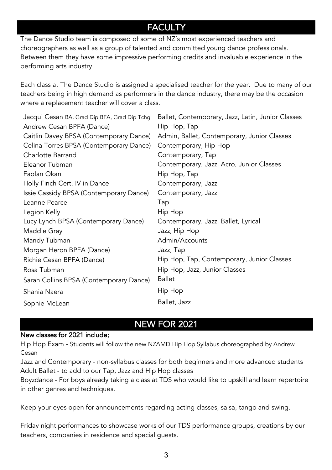## **FACULTY**

The Dance Studio team is composed of some of NZ's most experienced teachers and choreographers as well as a group of talented and committed young dance professionals. Between them they have some impressive performing credits and invaluable experience in the performing arts industry.

Each class at The Dance Studio is assigned a specialised teacher for the year. Due to many of our teachers being in high demand as performers in the dance industry, there may be the occasion where a replacement teacher will cover a class.

| Jacqui Cesan BA, Grad Dip BFA, Grad Dip Tchg | Ballet, Contemporary, Jazz, Latin, Junior Classes |
|----------------------------------------------|---------------------------------------------------|
| Andrew Cesan BPFA (Dance)                    | Hip Hop, Tap                                      |
| Caitlin Davey BPSA (Contemporary Dance)      | Admin, Ballet, Contemporary, Junior Classes       |
| Celina Torres BPSA (Contemporary Dance)      | Contemporary, Hip Hop                             |
| Charlotte Barrand                            | Contemporary, Tap                                 |
| Eleanor Tubman                               | Contemporary, Jazz, Acro, Junior Classes          |
| Faolan Okan                                  | Hip Hop, Tap                                      |
| Holly Finch Cert. IV in Dance                | Contemporary, Jazz                                |
| Issie Cassidy BPSA (Contemporary Dance)      | Contemporary, Jazz                                |
| Leanne Pearce                                | Tap                                               |
| Legion Kelly                                 | Hip Hop                                           |
| Lucy Lynch BPSA (Contemporary Dance)         | Contemporary, Jazz, Ballet, Lyrical               |
| Maddie Gray                                  | Jazz, Hip Hop                                     |
| Mandy Tubman                                 | Admin/Accounts                                    |
| Morgan Heron BPFA (Dance)                    | Jazz, Tap                                         |
| Richie Cesan BPFA (Dance)                    | Hip Hop, Tap, Contemporary, Junior Classes        |
| Rosa Tubman                                  | Hip Hop, Jazz, Junior Classes                     |
| Sarah Collins BPSA (Contemporary Dance)      | <b>Ballet</b>                                     |
| Shania Naera                                 | Hip Hop                                           |
| Sophie McLean                                | Ballet, Jazz                                      |
|                                              |                                                   |

## NEW FOR 2021

#### New classes for 2021 include;

Hip Hop Exam - Students will follow the new NZAMD Hip Hop Syllabus choreographed by Andrew Cesan

Jazz and Contemporary - non-syllabus classes for both beginners and more advanced students Adult Ballet - to add to our Tap, Jazz and Hip Hop classes

Boyzdance - For boys already taking a class at TDS who would like to upskill and learn repertoire in other genres and techniques.

Keep your eyes open for announcements regarding acting classes, salsa, tango and swing.

Friday night performances to showcase works of our TDS performance groups, creations by our teachers, companies in residence and special guests.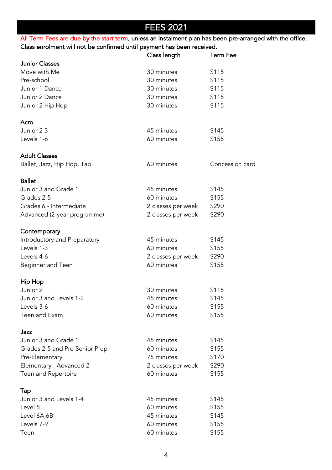## FEES 2021

All Term Fees are due by the start term, unless an instalment plan has been pre-arranged with the office. Class enrolment will not be confirmed until payment has been received.

|                                | Class length       | <b>Term Fee</b> |
|--------------------------------|--------------------|-----------------|
| <b>Junior Classes</b>          |                    |                 |
| Move with Me                   | 30 minutes         | \$115           |
| Pre-school                     | 30 minutes         | \$115           |
| Junior 1 Dance                 | 30 minutes         | \$115           |
| Junior 2 Dance                 | 30 minutes         | \$115           |
| Junior 2 Hip Hop               | 30 minutes         | \$115           |
| Acro                           |                    |                 |
| Junior 2-3                     | 45 minutes         | \$145           |
| Levels 1-6                     | 60 minutes         | \$155           |
| <b>Adult Classes</b>           |                    |                 |
| Ballet, Jazz, Hip Hop, Tap     | 60 minutes         | Concession card |
| <b>Ballet</b>                  |                    |                 |
| Junior 3 and Grade 1           | 45 minutes         | \$145           |
| Grades 2-5                     | 60 minutes         | \$155           |
| Grades 6 - Intermediate        | 2 classes per week | \$290           |
| Advanced (2-year programme)    | 2 classes per week | \$290           |
| Contemporary                   |                    |                 |
| Introductory and Preparatory   | 45 minutes         | \$145           |
| Levels 1-3                     | 60 minutes         | \$155           |
| Levels 4-6                     | 2 classes per week | \$290           |
| Beginner and Teen              | 60 minutes         | \$155           |
| Hip Hop                        |                    |                 |
| Junior 2                       | 30 minutes         | \$115           |
| Junior 3 and Levels 1-2        | 45 minutes         | \$145           |
| Levels 3-6                     | 60 minutes         | \$155           |
| Teen and Exam                  | 60 minutes         | \$155           |
| Jazz                           |                    |                 |
| Junior 3 and Grade 1           | 45 minutes         | \$145           |
| Grades 2-5 and Pre-Senior Prep | 60 minutes         | \$155           |
| Pre-Elementary                 | 75 minutes         | \$170           |
| Elementary - Advanced 2        | 2 classes per week | \$290           |
| Teen and Repertoire            | 60 minutes         | \$155           |
| Tap                            |                    |                 |
| Junior 3 and Levels 1-4        | 45 minutes         | \$145           |
| Level 5                        | 60 minutes         | \$155           |
| Level 6A,6B                    | 45 minutes         | \$145           |
| Levels 7-9                     | 60 minutes         | \$155           |
| Teen                           | 60 minutes         | \$155           |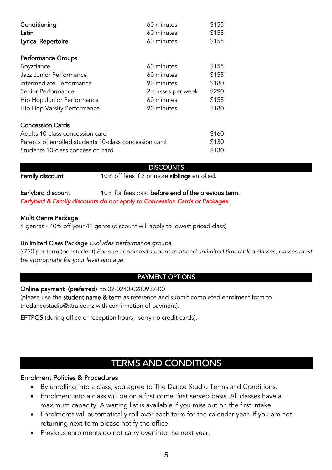| Conditioning                                          | 60 minutes         | \$155 |  |
|-------------------------------------------------------|--------------------|-------|--|
| Latin                                                 | 60 minutes         | \$155 |  |
| Lyrical Repertoire                                    | 60 minutes         | \$155 |  |
| <b>Performance Groups</b>                             |                    |       |  |
| Boyzdance                                             | 60 minutes         | \$155 |  |
| Jazz Junior Performance                               | 60 minutes         | \$155 |  |
| Intermediate Performance                              | 90 minutes         | \$180 |  |
| Senior Performance                                    | 2 classes per week | \$290 |  |
| Hip Hop Junior Performance                            | 60 minutes         | \$155 |  |
| Hip Hop Varsity Performance                           | 90 minutes         | \$180 |  |
| <b>Concession Cards</b>                               |                    |       |  |
| Adults 10-class concession card                       |                    |       |  |
| Parents of enrolled students 10-class concession card |                    |       |  |
| Students 10-class concession card                     |                    | \$130 |  |

#### **DISCOUNTS**

Family discount 10% off fees if 2 or more siblings enrolled.

#### Earlybird discount 10% for fees paid before end of the previous term. *Earlybird & Family discounts do not apply to Concession Cards or Packages.*

#### Multi Genre Package

4 genres - 40% off your 4th genre (discount will apply to lowest priced class)

#### Unlimited Class Package *Excludes performance groups.*

\$750 per term (per student) *For one appointed student to attend unlimited timetabled classes, classes must be appropriate for your level and age.* 

#### PAYMENT OPTIONS

#### Online payment (preferred) to 02-0240-0280937-00

(please use the student name & term as reference and submit completed enrolment form to thedancestudio@xtra.co.nz with confirmation of payment).

EFTPOS (during office or reception hours, sorry no credit cards).

## TERMS AND CONDITIONS

#### Enrolment Policies & Procedures

- By enrolling into a class, you agree to The Dance Studio Terms and Conditions.
- Enrolment into a class will be on a first come, first served basis. All classes have a maximum capacity. A waiting list is available if you miss out on the first intake.
- Enrolments will automatically roll over each term for the calendar year. If you are not returning next term please notify the office.
- Previous enrolments do not carry over into the next year.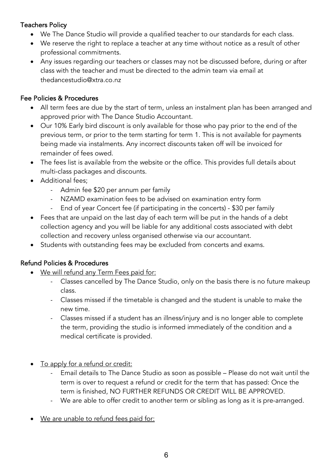#### Teachers Policy

- We The Dance Studio will provide a qualified teacher to our standards for each class.
- We reserve the right to replace a teacher at any time without notice as a result of other professional commitments.
- Any issues regarding our teachers or classes may not be discussed before, during or after class with the teacher and must be directed to the admin team via email at thedancestudio@xtra.co.nz

#### Fee Policies & Procedures

- All term fees are due by the start of term, unless an instalment plan has been arranged and approved prior with The Dance Studio Accountant.
- Our 10% Early bird discount is only available for those who pay prior to the end of the previous term, or prior to the term starting for term 1. This is not available for payments being made via instalments. Any incorrect discounts taken off will be invoiced for remainder of fees owed.
- The fees list is available from the website or the office. This provides full details about multi-class packages and discounts.
- Additional fees;
	- Admin fee \$20 per annum per family
	- NZAMD examination fees to be advised on examination entry form
	- End of year Concert fee (if participating in the concerts) \$30 per family
- Fees that are unpaid on the last day of each term will be put in the hands of a debt collection agency and you will be liable for any additional costs associated with debt collection and recovery unless organised otherwise via our accountant.
- Students with outstanding fees may be excluded from concerts and exams.

#### Refund Policies & Procedures

- We will refund any Term Fees paid for:
	- Classes cancelled by The Dance Studio, only on the basis there is no future makeup class.
	- Classes missed if the timetable is changed and the student is unable to make the new time.
	- Classes missed if a student has an illness/injury and is no longer able to complete the term, providing the studio is informed immediately of the condition and a medical certificate is provided.
- To apply for a refund or credit:
	- Email details to The Dance Studio as soon as possible Please do not wait until the term is over to request a refund or credit for the term that has passed: Once the term is finished, NO FURTHER REFUNDS OR CREDIT WILL BE APPROVED.
	- We are able to offer credit to another term or sibling as long as it is pre-arranged.
- We are unable to refund fees paid for: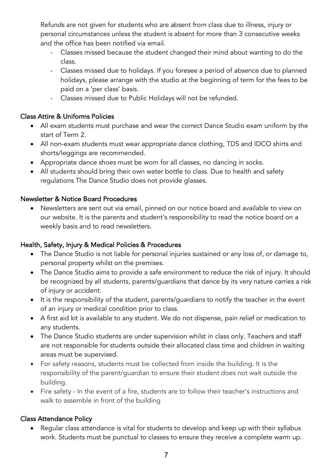Refunds are not given for students who are absent from class due to illness, injury or personal circumstances unless the student is absent for more than 3 consecutive weeks and the office has been notified via email.

- Classes missed because the student changed their mind about wanting to do the class.
- Classes missed due to holidays. If you foresee a period of absence due to planned holidays, please arrange with the studio at the beginning of term for the fees to be paid on a 'per class' basis.
- Classes missed due to Public Holidays will not be refunded.

#### Class Attire & Uniforms Policies

- All exam students must purchase and wear the correct Dance Studio exam uniform by the start of Term 2.
- All non-exam students must wear appropriate dance clothing, TDS and IDCO shirts and shorts/leggings are recommended.
- Appropriate dance shoes must be worn for all classes, no dancing in socks.
- All students should bring their own water bottle to class. Due to health and safety regulations The Dance Studio does not provide glasses.

#### Newsletter & Notice Board Procedures

• Newsletters are sent out via email, pinned on our notice board and available to view on our website. It is the parents and student's responsibility to read the notice board on a weekly basis and to read newsletters.

#### Health, Safety, Injury & Medical Policies & Procedures

- The Dance Studio is not liable for personal injuries sustained or any loss of, or damage to, personal property whilst on the premises.
- The Dance Studio aims to provide a safe environment to reduce the risk of injury. It should be recognized by all students, parents/guardians that dance by its very nature carries a risk of injury or accident.
- It is the responsibility of the student, parents/guardians to notify the teacher in the event of an injury or medical condition prior to class.
- A first aid kit is available to any student. We do not dispense, pain relief or medication to any students.
- The Dance Studio students are under supervision whilst in class only. Teachers and staff are not responsible for students outside their allocated class time and children in waiting areas must be supervised.
- For safety reasons, students must be collected from inside the building. It is the responsibility of the parent/guardian to ensure their student does not wait outside the building.
- Fire safety In the event of a fire, students are to follow their teacher's instructions and walk to assemble in front of the building

#### Class Attendance Policy

• Regular class attendance is vital for students to develop and keep up with their syllabus work. Students must be punctual to classes to ensure they receive a complete warm up.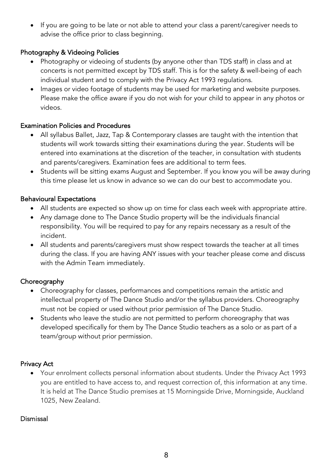• If you are going to be late or not able to attend your class a parent/caregiver needs to advise the office prior to class beginning.

#### Photography & Videoing Policies

- Photography or videoing of students (by anyone other than TDS staff) in class and at concerts is not permitted except by TDS staff. This is for the safety & well-being of each individual student and to comply with the Privacy Act 1993 regulations.
- Images or video footage of students may be used for marketing and website purposes. Please make the office aware if you do not wish for your child to appear in any photos or videos.

#### Examination Policies and Procedures

- All syllabus Ballet, Jazz, Tap & Contemporary classes are taught with the intention that students will work towards sitting their examinations during the year. Students will be entered into examinations at the discretion of the teacher, in consultation with students and parents/caregivers. Examination fees are additional to term fees.
- Students will be sitting exams August and September. If you know you will be away during this time please let us know in advance so we can do our best to accommodate you.

#### Behavioural Expectations

- All students are expected so show up on time for class each week with appropriate attire.
- Any damage done to The Dance Studio property will be the individuals financial responsibility. You will be required to pay for any repairs necessary as a result of the incident.
- All students and parents/caregivers must show respect towards the teacher at all times during the class. If you are having ANY issues with your teacher please come and discuss with the Admin Team immediately.

#### **Choreography**

- Choreography for classes, performances and competitions remain the artistic and intellectual property of The Dance Studio and/or the syllabus providers. Choreography must not be copied or used without prior permission of The Dance Studio.
- Students who leave the studio are not permitted to perform choreography that was developed specifically for them by The Dance Studio teachers as a solo or as part of a team/group without prior permission.

#### Privacy Act

• Your enrolment collects personal information about students. Under the Privacy Act 1993 you are entitled to have access to, and request correction of, this information at any time. It is held at The Dance Studio premises at 15 Morningside Drive, Morningside, Auckland 1025, New Zealand.

#### Dismissal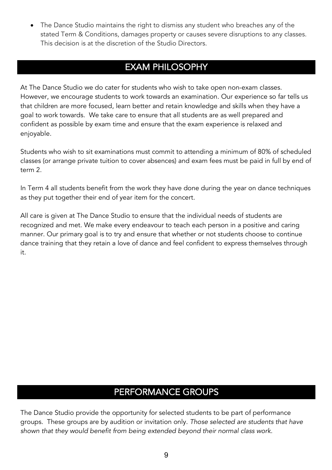• The Dance Studio maintains the right to dismiss any student who breaches any of the stated Term & Conditions, damages property or causes severe disruptions to any classes. This decision is at the discretion of the Studio Directors.

## EXAM PHILOSOPHY

At The Dance Studio we do cater for students who wish to take open non-exam classes. However, we encourage students to work towards an examination. Our experience so far tells us that children are more focused, learn better and retain knowledge and skills when they have a goal to work towards. We take care to ensure that all students are as well prepared and confident as possible by exam time and ensure that the exam experience is relaxed and enjoyable.

Students who wish to sit examinations must commit to attending a minimum of 80% of scheduled classes (or arrange private tuition to cover absences) and exam fees must be paid in full by end of term 2.

In Term 4 all students benefit from the work they have done during the year on dance techniques as they put together their end of year item for the concert.

All care is given at The Dance Studio to ensure that the individual needs of students are recognized and met. We make every endeavour to teach each person in a positive and caring manner. Our primary goal is to try and ensure that whether or not students choose to continue dance training that they retain a love of dance and feel confident to express themselves through it.

## PERFORMANCE GROUPS

The Dance Studio provide the opportunity for selected students to be part of performance groups. These groups are by audition or invitation only. *Those selected are students that have shown that they would benefit from being extended beyond their normal class work.*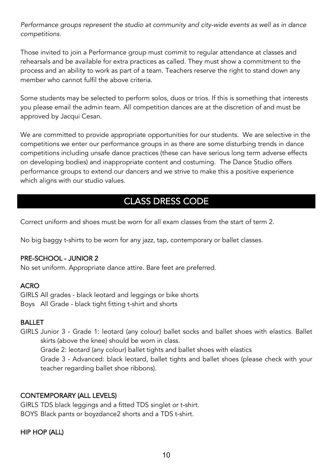*Performance groups represent the studio at community and city-wide events as well as in dance competitions.* 

Those invited to join a Performance group must commit to regular attendance at classes and rehearsals and be available for extra practices as called. They must show a commitment to the process and an ability to work as part of a team. Teachers reserve the right to stand down any member who cannot fulfil the above criteria.

Some students may be selected to perform solos, duos or trios. If this is something that interests you please email the admin team. All competition dances are at the discretion of and must be approved by Jacqui Cesan.

We are committed to provide appropriate opportunities for our students. We are selective in the competitions we enter our performance groups in as there are some disturbing trends in dance competitions including unsafe dance practices (these can have serious long term adverse effects on developing bodies) and inappropriate content and costuming. The Dance Studio offers performance groups to extend our dancers and we strive to make this a positive experience which aligns with our studio values.

## CLASS DRESS CODE

Correct uniform and shoes must be worn for all exam classes from the start of term 2.

No big baggy t-shirts to be worn for any jazz, tap, contemporary or ballet classes.

#### PRE-SCHOOL - JUNIOR 2

No set uniform. Appropriate dance attire. Bare feet are preferred.

#### **ACRO**

GIRLS All grades - black leotard and leggings or bike shorts Boys All Grade - black tight fitting t-shirt and shorts

#### BALLET

GIRLS Junior 3 - Grade 1: leotard (any colour) ballet socks and ballet shoes with elastics. Ballet skirts (above the knee) should be worn in class.

Grade 2: leotard (any colour) ballet tights and ballet shoes with elastics

Grade 3 - Advanced: black leotard, ballet tights and ballet shoes (please check with your teacher regarding ballet shoe ribbons).

#### CONTEMPORARY (ALL LEVELS)

GIRLS TDS black leggings and a fitted TDS singlet or t-shirt. BOYS Black pants or boyzdance2 shorts and a TDS t-shirt.

#### HIP HOP (ALL)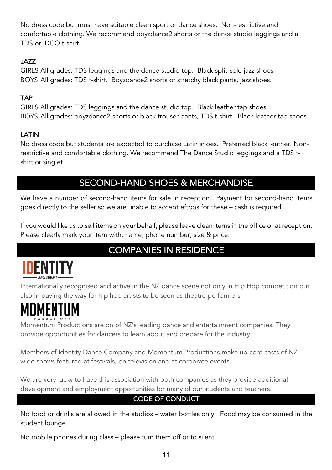No dress code but must have suitable clean sport or dance shoes. Non-restrictive and comfortable clothing. We recommend boyzdance2 shorts or the dance studio leggings and a TDS or IDCO t-shirt.

#### JAZZ

GIRLS All grades: TDS leggings and the dance studio top. Black split-sole jazz shoes BOYS All grades: TDS t-shirt. Boyzdance2 shorts or stretchy black pants, jazz shoes.

#### **TAP**

GIRLS All grades: TDS leggings and the dance studio top. Black leather tap shoes. BOYS All grades: boyzdance2 shorts or black trouser pants, TDS t-shirt. Black leather tap shoes.

#### LATIN

No dress code but students are expected to purchase Latin shoes. Preferred black leather. Nonrestrictive and comfortable clothing. We recommend The Dance Studio leggings and a TDS tshirt or singlet.

## SECOND-HAND SHOES & MERCHANDISE

We have a number of second-hand items for sale in reception. Payment for second-hand items goes directly to the seller so we are unable to accept eftpos for these – cash is required.

If you would like us to sell items on your behalf, please leave clean items in the office or at reception. Please clearly mark your item with: name, phone number, size & price.

## COMPANIES IN RESIDENCE



Internationally recognised and active in the NZ dance scene not only in Hip Hop competition but also in paving the way for hip hop artists to be seen as theatre performers.

Momentum Productions are on of NZ's leading dance and entertainment companies. They provide opportunities for dancers to learn about and prepare for the industry.

Members of Identity Dance Company and Momentum Productions make up core casts of NZ wide shows featured at festivals, on television and at corporate events.

We are very lucky to have this association with both companies as they provide additional development and employment opportunities for many of our students and teachers.

#### CODE OF CONDUCT

No food or drinks are allowed in the studios – water bottles only. Food may be consumed in the student lounge.

No mobile phones during class – please turn them off or to silent.